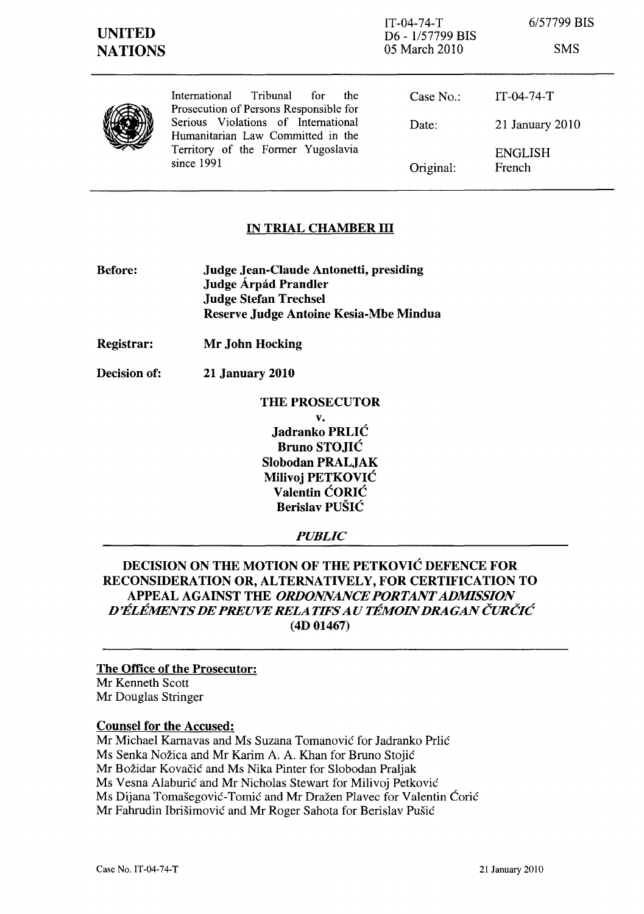IT-04-74-T D6 - 1/57799 BIS 05 March 2010

6/57799 BIS

|  | - Tribunal<br>for<br>International<br>the.<br>Prosecution of Persons Responsible for | Case No.: | IT-04-74-T               |
|--|--------------------------------------------------------------------------------------|-----------|--------------------------|
|  | Serious Violations of International<br>Humanitarian Law Committed in the             | Date:     | 21 January 2010          |
|  | Territory of the Former Yugoslavia<br>since 1991                                     | Original: | <b>ENGLISH</b><br>French |

## IN TRIAL CHAMBER III

- Before: Judge Jean-Claude Antonetti, presiding Judge Árpád Prandler Judge Stefan Trechsel Reserve Judge Antoine Kesia-Mbe Mindua
- Registrar: Mr John Hocking
- Decision of: 21 January 2010

### THE PROSECUTOR

v. Jadranko PRLIĆ Bruno STOJIĆ Slobodan PRALJAK Milivoj PETKOVIĆ Valentin ĆORIĆ Berislav PUŠIĆ

## *PUBLIC*

DECISION ON THE MOTION OF THE PETKOVIĆ DEFENCE FOR RECONSIDERATION OR, ALTERNATIVELY, FOR CERTIFICATION TO APPEAL AGAINST THE *ORDONNANCE PORTANT ADMISSION D'ELEMENTS DE PREUVE RELATIFS AU TEMOIN DRAGAN* ČURČIĆ (4D 01467)

The Office of the Prosecutor: Mr Kenneth Scott Mr Douglas Stringer

#### Counsel for the Accused:

Mr Michael Kamavas and Ms Suzana Tomanović for Jadranko Prlić Ms Senka Nožica and Mr Karim A. A. Khan for Bruno Stojić Mr Božidar Kovačić and Ms Nika Pinter for Slobodan Praljak Ms Vesna Alaburić and Mr Nicholas Stewart for Milivoj Petković Ms Dijana Tomašegović-Tomić and Mr Dražen Plavec for Valentin Ćorić Mr Fahrudin Ibrišimović and Mr Roger Sahota for Berislav Pušić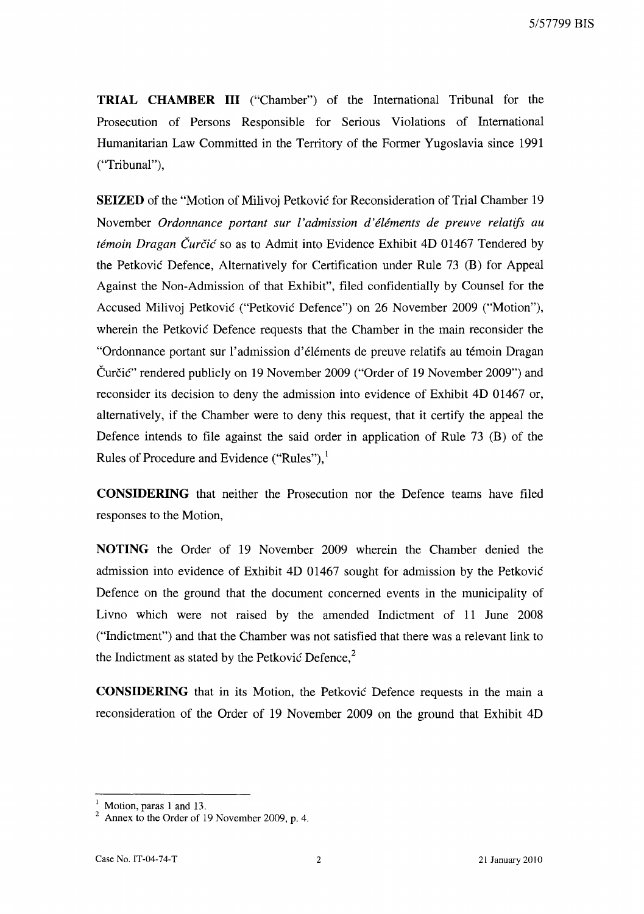**TRIAL CHAMBER III** ("Chamber") of the International Tribunal for the Prosecution of Persons Responsible for Serious Violations of International Humanitarian Law Committed in the Territory of the Former Yugoslavia since 1991 ("Tribunal"),

**SEIZED** of the "Motion of Milivoj Petković for Reconsideration of Trial Chamber 19 November *Ordonnance portant sur l'admission d'elements de preuve relatifs au temoin Dragan* Čurčić so as to Admit into Evidence Exhibit 4D 01467 Tendered by the Petković Defence, Alternatively for Certification under Rule 73 (B) for Appeal Against the Non-Admission of that Exhibit", filed confidentially by Counsel for the Accused Milivoj Petković ("Petković Defence") on 26 November 2009 ("Motion"), wherein the Petković Defence requests that the Chamber in the main reconsider the "Ordonnance portant sur l'admission d'éléments de preuve relatifs au témoin Dragan Čurčić" rendered publicly on 19 November 2009 ("Order of 19 November 2009") and reconsider its decision to deny the admission into evidence of Exhibit 4D 01467 or, alternatively, if the Chamber were to deny this request, that it certify the appeal the Defence intends to file against the said order in application of Rule 73 (B) of the Rules of Procedure and Evidence ("Rules"),<sup>1</sup>

**CONSIDERING** that neither the Prosecution nor the Defence teams have filed responses to the Motion,

**NOTING** the Order of 19 November 2009 wherein the Chamber denied the admission into evidence of Exhibit 4D 01467 sought for admission by the Petković Defence on the ground that the document concerned events in the municipality of Livno which were not raised by the amended Indictment of II June 2008 ("Indictment") and that the Chamber was not satisfied that there was a relevant link to the Indictment as stated by the Petković Defence, $2$ 

**CONSIDERING** that in its Motion, the Petković Defence requests in the main a reconsideration of the Order of 19 November 2009 on the ground that Exhibit 4D

Motion, paras 1 and 13.

<sup>2</sup> Annex to the Order of 19 November 2009, p. 4.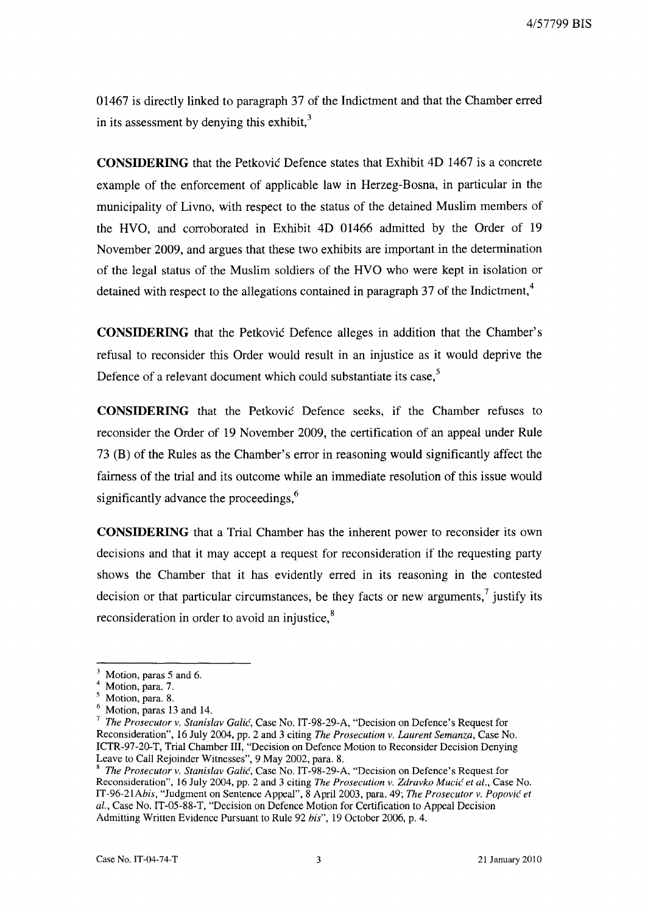4/57799 BIS

01467 is directly linked to paragraph 37 of the Indictment and that the Chamber erred in its assessment by denying this exhibit, $3$ 

**CONSIDERING** that the Petković Defence states that Exhibit 4D 1467 is a concrete example of the enforcement of applicable law in Herzeg-Bosna, in particular in the municipality of Livno, with respect to the status of the detained Muslim members of the HVO, and corroborated in Exhibit 4D 01466 admitted by the Order of 19 November 2009, and argues that these two exhibits are important in the determination of the legal status of the Muslim soldiers of the HVO who were kept in isolation or detained with respect to the allegations contained in paragraph 37 of the Indictment, $4$ 

**CONSIDERING** that the Petković Defence alleges in addition that the Chamber's refusal to reconsider this Order would result in an injustice as it would deprive the Defence of a relevant document which could substantiate its case,<sup>5</sup>

**CONSIDERING** that the Petković Defence seeks, if the Chamber refuses to reconsider the Order of 19 November 2009, the certification of an appeal under Rule 73 (B) of the Rules as the Chamber' s error in reasoning would significantly affect the fairness of the trial and its outcome while an immediate resolution of this issue would significantly advance the proceedings,  $6\frac{6}{5}$ 

**CONSIDERING** that a Trial Chamber has the inherent power to reconsider its own decisions and that it may accept a request for reconsideration if the requesting party shows the Chamber that it has evidently erred in its reasoning in the contested decision or that particular circumstances, be they facts or new arguments, $\frac{7}{1}$  justify its reconsideration in order to avoid an injustice,<sup>8</sup>

 $\frac{3}{4}$  Motion, paras 5 and 6.

 $^{4}$  Motion, para. 7.

Motion, para. 8.

<sup>6</sup> Motion, paras 13 and 14.

<sup>7</sup>*The Prosecutor* v. *Stanislav* Galić, Case No. IT-98-29-A, "Decision on Defence' s Request for Reconsideration", 16 July 2004, pp. 2 and 3 citing *The Prosecution* v. *Laurent Semanza,* Case No. ICTR-97-20-T, Trial Chamber III, "Decision on Defence Motion to Reconsider Decision Denying Leave to Call Rejoinder Witnesses", 9 May 2002, para. 8.

s *The Prosecutor* v. *Stanislav* Galić, Case No. IT-98-29-A, "Decision on Defence's Request for Reconsideration", 16 July 2004, pp. 2 and 3 citing *The Prosecution* v. *Zdravko* Mucić *et al.,* Case No. *IT-96-21Abis,* "Judgment on Sentence Appeal", 8 April 2003, para. 49; *The Prosecutor* v. Popović *et*  al., Case No. IT-05-88-T, "Decision on Defence Motion for Certification to Appeal Decision Admitting Written Evidence Pursuant to Rule 92 *bis",* 19 October 2006, p. 4.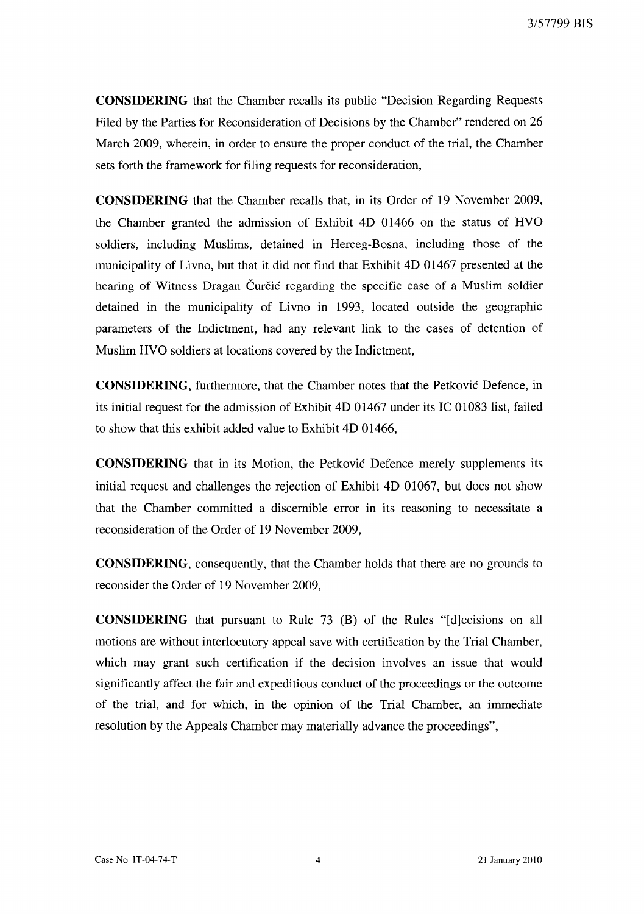**CONSIDERING** that the Chamber recalls its public "Decision Regarding Requests Filed by the Parties for Reconsideration of Decisions by the Chamber" rendered on 26 March 2009, wherein, in order to ensure the proper conduct of the trial, the Chamber sets forth the framework for filing requests for reconsideration,

**CONSIDERING** that the Chamber recalls that, in its Order of 19 November 2009, the Chamber granted the admission of Exhibit 4D 01466 on the status of HVO soldiers, including Muslims, detained in Herceg-Bosna, including those of the municipality of Livno, but that it did not find that Exhibit 4D 01467 presented at the hearing of Witness Dragan Čurčić regarding the specific case of a Muslim soldier detained in the municipality of Livno in 1993, located outside the geographic parameters of the Indictment, had any relevant link to the cases of detention of Muslim HVO soldiers at locations covered by the Indictment,

**CONSIDERING,** furthermore, that the Chamber notes that the Petković Defence, in its initial request for the admission of Exhibit 4D 01467 under its IC 01083 list, failed to show that this exhibit added value to Exhibit 4D 01466,

**CONSIDERING** that in its Motion, the Petković Defence merely supplements its initial request and challenges the rejection of Exhibit 4D 01067, but does not show that the Chamber committed a discemible error in its reasoning to necessitate a reconsideration of the Order of 19 November 2009,

**CONSIDERING**, consequently, that the Chamber holds that there are no grounds to reconsider the Order of 19 November 2009,

**CONSIDERING** that pursuant to Rule 73 (B) of the Rules "[d]ecisions on all motions are without interlocutory appeal save with certification by the Trial Chamber, which may grant such certification if the decision involves an issue that would significantly affect the fair and expeditious conduct of the proceedings or the outcome of the trial, and for which, in the opinion of the Trial Chamber, an immediate resolution by the Appeals Chamber may materially advance the proceedings",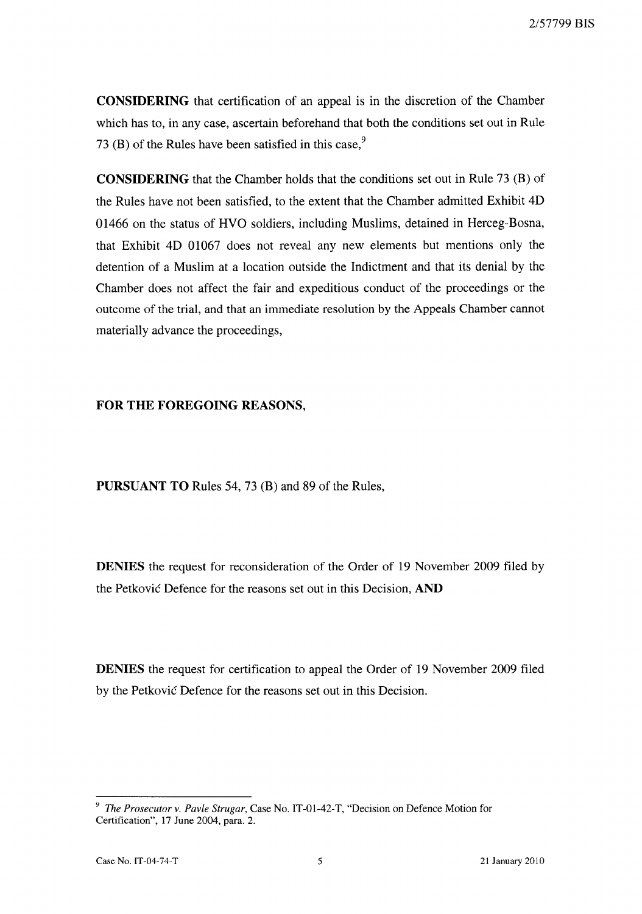**CONSIDERING** that certification of an appeal is in the discretion of the Chamber which has to, in any case, ascertain beforehand that both the conditions set out in Rule 73 (B) of the Rules have been satisfied in this case,  $\frac{9}{2}$ 

**CONSIDERING** that the Chamber holds that the conditions set out in Rule 73 (B) of the Rules have not been satisfied, to the extent that the Chamber admitted Exhibit 4D 01466 on the status of HVO soldiers, including Muslims, detained in Herceg-Bosna, that Exhibit 4D 01067 does not reveal any new elements but mentions only the detention of a Muslim at a location outside the Indictment and that its denial by the Chamber does not affect the fair and expeditious conduct of the proceedings or the outcome of the trial, and that an immediate resolution by the Appeals Chamber cannot materially advance the proceedings,

### **FOR THE FOREGOING** REASONS,

**PURSUANT TO** Rules 54, 73 (B) and 89 of the Rules,

**DENlES** the request for reconsideration of the Order of 19 November 2009 filed by the Petković Defence for the reasons set out in this Decision, **AND** 

**DENlES** the request for certification to appeal the Order of 19 November 2009 filed by the Petković Defence for the reasons set out in this Decision.

*<sup>9</sup> The Prosecutor* v. *Pavle Strugar,* Case No. IT-0l-42-T, "Decision on Defence Motion for Certification", 17 June 2004, para. 2.